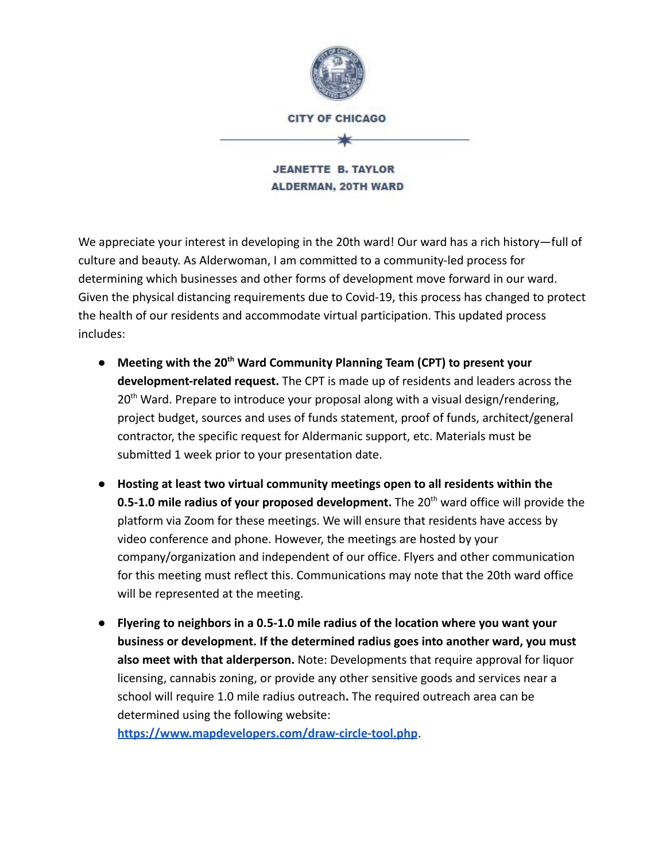

**CITY OF CHICAGO** 

**JEANETTE B. TAYLOR ALDERMAN, 20TH WARD** 

We appreciate your interest in developing in the 20th ward! Our ward has a rich history—full of culture and beauty. As Alderwoman, I am committed to a community-led process for determining which businesses and other forms of development move forward in our ward. Given the physical distancing requirements due to Covid-19, this process has changed to protect the health of our residents and accommodate virtual participation. This updated process includes:

- **Meeting with the 20th Ward Community Planning Team (CPT) to present your development-related request.** The CPT is made up of residents and leaders across the  $20<sup>th</sup>$  Ward. Prepare to introduce your proposal along with a visual design/rendering, project budget, sources and uses of funds statement, proof of funds, architect/general contractor, the specific request for Aldermanic support, etc. Materials must be submitted 1 week prior to your presentation date.
- **Hosting at least two virtual community meetings open to all residents within the 0.5-1.0 mile radius of your proposed development.** The 20<sup>th</sup> ward office will provide the platform via Zoom for these meetings. We will ensure that residents have access by video conference and phone. However, the meetings are hosted by your company/organization and independent of our office. Flyers and other communication for this meeting must reflect this. Communications may note that the 20th ward office will be represented at the meeting.
- **Flyering to neighbors in a 0.5-1.0 mile radius of the location where you want your business or development. If the determined radius goes into another ward, you must also meet with that alderperson.** Note: Developments that require approval for liquor licensing, cannabis zoning, or provide any other sensitive goods and services near a school will require 1.0 mile radius outreach**.** The required outreach area can be determined using the following website:

**<https://www.mapdevelopers.com/draw-circle-tool.php>**.